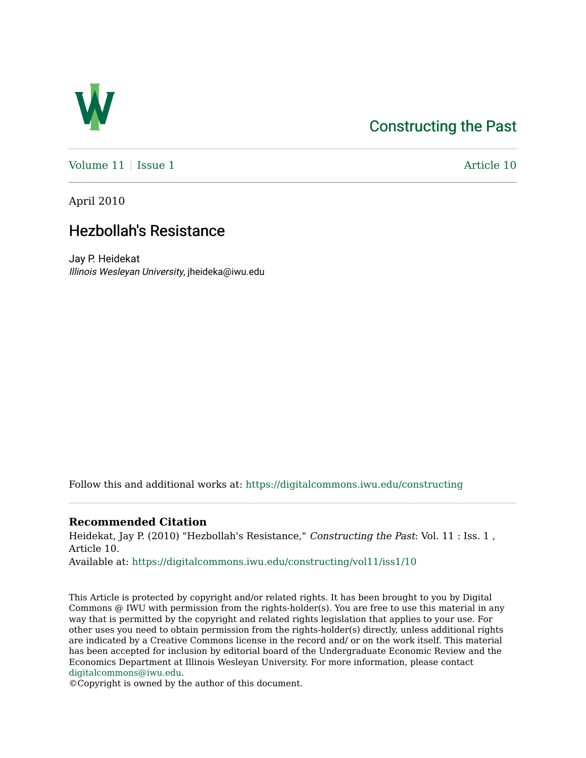## [Constructing the Past](https://digitalcommons.iwu.edu/constructing)



Volume  $11$  [Issue 1](https://digitalcommons.iwu.edu/constructing/vol11/iss1)  $\blacksquare$ 

April 2010

## Hezbollah's Resistance

Jay P. Heidekat Illinois Wesleyan University, jheideka@iwu.edu

Follow this and additional works at: [https://digitalcommons.iwu.edu/constructing](https://digitalcommons.iwu.edu/constructing?utm_source=digitalcommons.iwu.edu%2Fconstructing%2Fvol11%2Fiss1%2F10&utm_medium=PDF&utm_campaign=PDFCoverPages)

## **Recommended Citation**

Heidekat, Jay P. (2010) "Hezbollah's Resistance," Constructing the Past: Vol. 11 : Iss. 1 , Article 10. Available at: [https://digitalcommons.iwu.edu/constructing/vol11/iss1/10](https://digitalcommons.iwu.edu/constructing/vol11/iss1/10?utm_source=digitalcommons.iwu.edu%2Fconstructing%2Fvol11%2Fiss1%2F10&utm_medium=PDF&utm_campaign=PDFCoverPages) 

This Article is protected by copyright and/or related rights. It has been brought to you by Digital Commons @ IWU with permission from the rights-holder(s). You are free to use this material in any way that is permitted by the copyright and related rights legislation that applies to your use. For other uses you need to obtain permission from the rights-holder(s) directly, unless additional rights are indicated by a Creative Commons license in the record and/ or on the work itself. This material has been accepted for inclusion by editorial board of the Undergraduate Economic Review and the Economics Department at Illinois Wesleyan University. For more information, please contact [digitalcommons@iwu.edu.](mailto:digitalcommons@iwu.edu)

©Copyright is owned by the author of this document.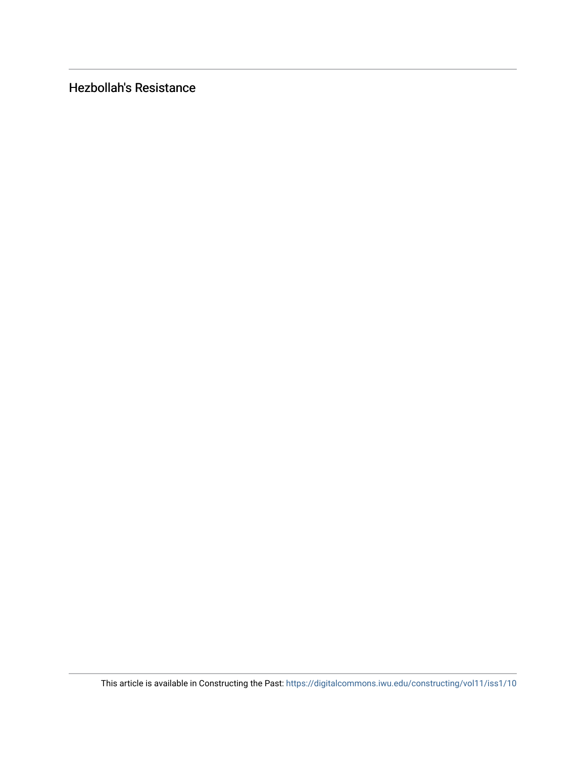Hezbollah's Resistance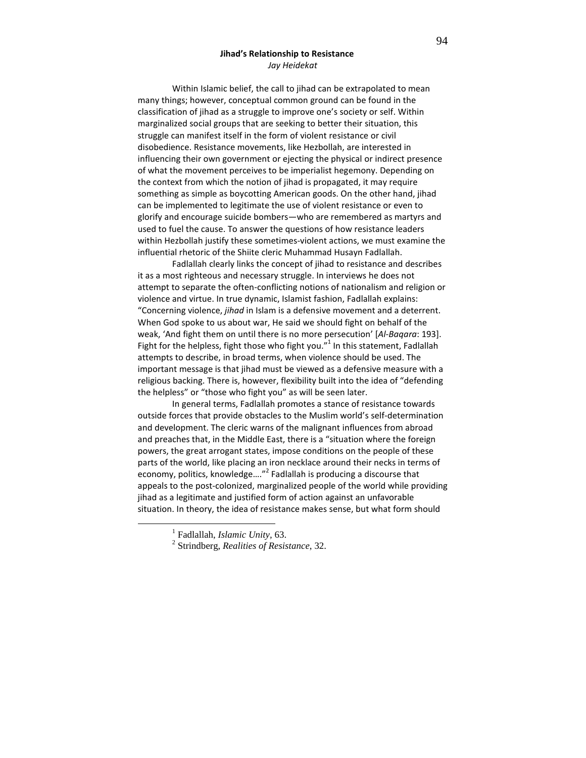## Jihad's Relationship to Resistance Jay Heidekat

Within Islamic belief, the call to jihad can be extrapolated to mean many things; however, conceptual common ground can be found in the classification of jihad as a struggle to improve one's society or self. Within marginalized social groups that are seeking to better their situation, this struggle can manifest itself in the form of violent resistance or civil disobedience. Resistance movements, like Hezbollah, are interested in influencing their own government or ejecting the physical or indirect presence of what the movement perceives to be imperialist hegemony. Depending on the context from which the notion of jihad is propagated, it may require something as simple as boycotting American goods. On the other hand, jihad can be implemented to legitimate the use of violent resistance or even to glorify and encourage suicide bombers—who are remembered as martyrs and used to fuel the cause. To answer the questions of how resistance leaders within Hezbollah justify these sometimes-violent actions, we must examine the influential rhetoric of the Shiite cleric Muhammad Husayn Fadlallah.

 Fadlallah clearly links the concept of jihad to resistance and describes it as a most righteous and necessary struggle. In interviews he does not attempt to separate the often-conflicting notions of nationalism and religion or violence and virtue. In true dynamic, Islamist fashion, Fadlallah explains: "Concerning violence, jihad in Islam is a defensive movement and a deterrent. When God spoke to us about war, He said we should fight on behalf of the weak, 'And fight them on until there is no more persecution' [Al-Baqara: 193]. Fight for the helpless, fight those who fight you." $1$  In this statement, Fadlallah attempts to describe, in broad terms, when violence should be used. The important message is that jihad must be viewed as a defensive measure with a religious backing. There is, however, flexibility built into the idea of "defending the helpless" or "those who fight you" as will be seen later.

 In general terms, Fadlallah promotes a stance of resistance towards outside forces that provide obstacles to the Muslim world's self-determination and development. The cleric warns of the malignant influences from abroad and preaches that, in the Middle East, there is a "situation where the foreign powers, the great arrogant states, impose conditions on the people of these parts of the world, like placing an iron necklace around their necks in terms of economy, politics, knowledge...."<sup>2</sup> Fadlallah is producing a discourse that appeals to the post-colonized, marginalized people of the world while providing jihad as a legitimate and justified form of action against an unfavorable situation. In theory, the idea of resistance makes sense, but what form should

 $\overline{a}$ 

<sup>1</sup> Fadlallah, *Islamic Unity,* 63.

<sup>2</sup> Strindberg, *Realities of Resistance*, 32.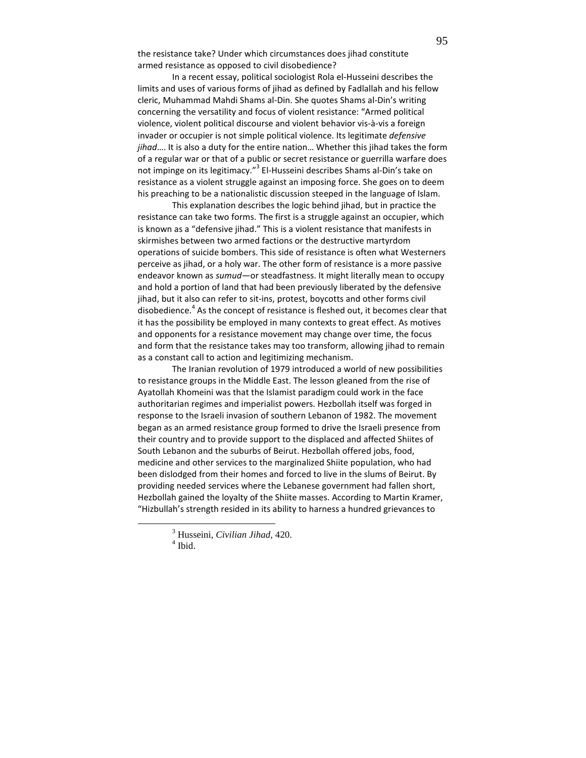the resistance take? Under which circumstances does jihad constitute armed resistance as opposed to civil disobedience?

 In a recent essay, political sociologist Rola el-Husseini describes the limits and uses of various forms of jihad as defined by Fadlallah and his fellow cleric, Muhammad Mahdi Shams al-Din. She quotes Shams al-Din's writing concerning the versatility and focus of violent resistance: "Armed political violence, violent political discourse and violent behavior vis-à-vis a foreign invader or occupier is not simple political violence. Its legitimate defensive jihad.... It is also a duty for the entire nation... Whether this jihad takes the form of a regular war or that of a public or secret resistance or guerrilla warfare does not impinge on its legitimacy."<sup>3</sup> El-Husseini describes Shams al-Din's take on resistance as a violent struggle against an imposing force. She goes on to deem his preaching to be a nationalistic discussion steeped in the language of Islam.

This explanation describes the logic behind jihad, but in practice the resistance can take two forms. The first is a struggle against an occupier, which is known as a "defensive jihad." This is a violent resistance that manifests in skirmishes between two armed factions or the destructive martyrdom operations of suicide bombers. This side of resistance is often what Westerners perceive as jihad, or a holy war. The other form of resistance is a more passive endeavor known as sumud—or steadfastness. It might literally mean to occupy and hold a portion of land that had been previously liberated by the defensive jihad, but it also can refer to sit-ins, protest, boycotts and other forms civil disobedience.<sup>4</sup> As the concept of resistance is fleshed out, it becomes clear that it has the possibility be employed in many contexts to great effect. As motives and opponents for a resistance movement may change over time, the focus and form that the resistance takes may too transform, allowing jihad to remain as a constant call to action and legitimizing mechanism.

The Iranian revolution of 1979 introduced a world of new possibilities to resistance groups in the Middle East. The lesson gleaned from the rise of Ayatollah Khomeini was that the Islamist paradigm could work in the face authoritarian regimes and imperialist powers. Hezbollah itself was forged in response to the Israeli invasion of southern Lebanon of 1982. The movement began as an armed resistance group formed to drive the Israeli presence from their country and to provide support to the displaced and affected Shiites of South Lebanon and the suburbs of Beirut. Hezbollah offered jobs, food, medicine and other services to the marginalized Shiite population, who had been dislodged from their homes and forced to live in the slums of Beirut. By providing needed services where the Lebanese government had fallen short, Hezbollah gained the loyalty of the Shiite masses. According to Martin Kramer, "Hizbullah's strength resided in its ability to harness a hundred grievances to

<sup>3</sup> Husseini, *Civilian Jihad*, 420.

<sup>4</sup> Ibid.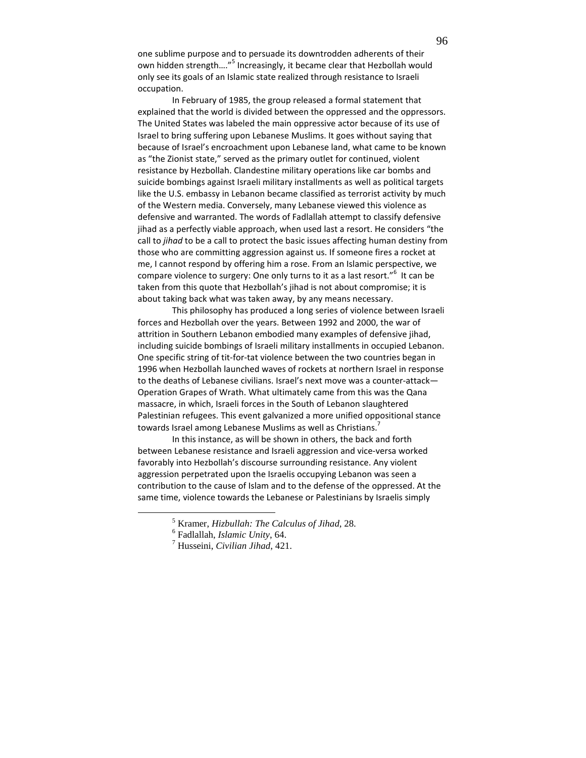one sublime purpose and to persuade its downtrodden adherents of their own hidden strength...."<sup>5</sup> Increasingly, it became clear that Hezbollah would only see its goals of an Islamic state realized through resistance to Israeli occupation.

In February of 1985, the group released a formal statement that explained that the world is divided between the oppressed and the oppressors. The United States was labeled the main oppressive actor because of its use of Israel to bring suffering upon Lebanese Muslims. It goes without saying that because of Israel's encroachment upon Lebanese land, what came to be known as "the Zionist state," served as the primary outlet for continued, violent resistance by Hezbollah. Clandestine military operations like car bombs and suicide bombings against Israeli military installments as well as political targets like the U.S. embassy in Lebanon became classified as terrorist activity by much of the Western media. Conversely, many Lebanese viewed this violence as defensive and warranted. The words of Fadlallah attempt to classify defensive jihad as a perfectly viable approach, when used last a resort. He considers "the call to jihad to be a call to protect the basic issues affecting human destiny from those who are committing aggression against us. If someone fires a rocket at me, I cannot respond by offering him a rose. From an Islamic perspective, we compare violence to surgery: One only turns to it as a last resort." $6$  It can be taken from this quote that Hezbollah's jihad is not about compromise; it is about taking back what was taken away, by any means necessary.

This philosophy has produced a long series of violence between Israeli forces and Hezbollah over the years. Between 1992 and 2000, the war of attrition in Southern Lebanon embodied many examples of defensive jihad, including suicide bombings of Israeli military installments in occupied Lebanon. One specific string of tit-for-tat violence between the two countries began in 1996 when Hezbollah launched waves of rockets at northern Israel in response to the deaths of Lebanese civilians. Israel's next move was a counter-attack— Operation Grapes of Wrath. What ultimately came from this was the Qana massacre, in which, Israeli forces in the South of Lebanon slaughtered Palestinian refugees. This event galvanized a more unified oppositional stance towards Israel among Lebanese Muslims as well as Christians.

In this instance, as will be shown in others, the back and forth between Lebanese resistance and Israeli aggression and vice-versa worked favorably into Hezbollah's discourse surrounding resistance. Any violent aggression perpetrated upon the Israelis occupying Lebanon was seen a contribution to the cause of Islam and to the defense of the oppressed. At the same time, violence towards the Lebanese or Palestinians by Israelis simply

<sup>5</sup> Kramer, *Hizbullah: The Calculus of Jihad*, 28.

<sup>6</sup> Fadlallah, *Islamic Unity*, 64.

<sup>7</sup> Husseini, *Civilian Jihad*, 421.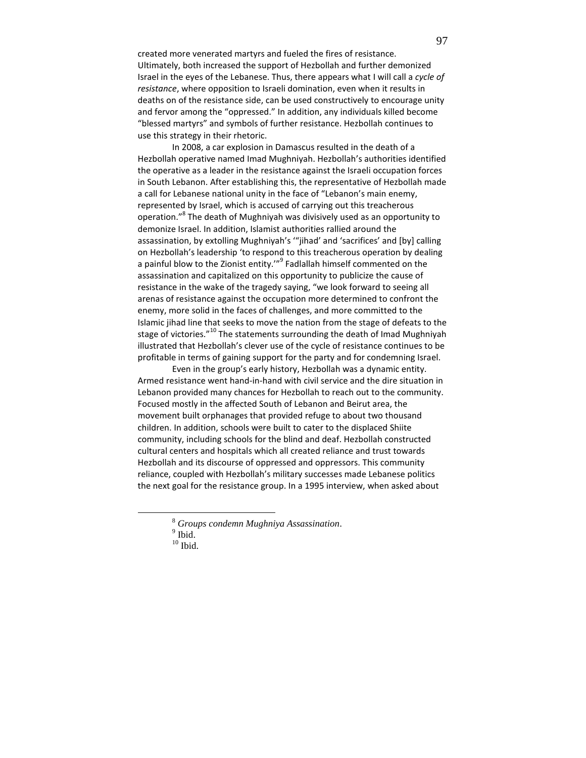created more venerated martyrs and fueled the fires of resistance. Ultimately, both increased the support of Hezbollah and further demonized Israel in the eyes of the Lebanese. Thus, there appears what I will call a cycle of resistance, where opposition to Israeli domination, even when it results in deaths on of the resistance side, can be used constructively to encourage unity and fervor among the "oppressed." In addition, any individuals killed become "blessed martyrs" and symbols of further resistance. Hezbollah continues to use this strategy in their rhetoric.

In 2008, a car explosion in Damascus resulted in the death of a Hezbollah operative named Imad Mughniyah. Hezbollah's authorities identified the operative as a leader in the resistance against the Israeli occupation forces in South Lebanon. After establishing this, the representative of Hezbollah made a call for Lebanese national unity in the face of "Lebanon's main enemy, represented by Israel, which is accused of carrying out this treacherous operation."<sup>8</sup> The death of Mughniyah was divisively used as an opportunity to demonize Israel. In addition, Islamist authorities rallied around the assassination, by extolling Mughniyah's '"jihad' and 'sacrifices' and [by] calling on Hezbollah's leadership 'to respond to this treacherous operation by dealing a painful blow to the Zionist entity.<sup>'"<sup>9</sup> Fadlallah himself commented on the</sup> assassination and capitalized on this opportunity to publicize the cause of resistance in the wake of the tragedy saying, "we look forward to seeing all arenas of resistance against the occupation more determined to confront the enemy, more solid in the faces of challenges, and more committed to the Islamic jihad line that seeks to move the nation from the stage of defeats to the stage of victories."<sup>10</sup> The statements surrounding the death of Imad Mughniyah illustrated that Hezbollah's clever use of the cycle of resistance continues to be profitable in terms of gaining support for the party and for condemning Israel.

 Even in the group's early history, Hezbollah was a dynamic entity. Armed resistance went hand-in-hand with civil service and the dire situation in Lebanon provided many chances for Hezbollah to reach out to the community. Focused mostly in the affected South of Lebanon and Beirut area, the movement built orphanages that provided refuge to about two thousand children. In addition, schools were built to cater to the displaced Shiite community, including schools for the blind and deaf. Hezbollah constructed cultural centers and hospitals which all created reliance and trust towards Hezbollah and its discourse of oppressed and oppressors. This community reliance, coupled with Hezbollah's military successes made Lebanese politics the next goal for the resistance group. In a 1995 interview, when asked about

<sup>8</sup> *Groups condemn Mughniya Assassination*.

 $<sup>9</sup>$  Ibid.</sup>

 $^{10}$  Ibid.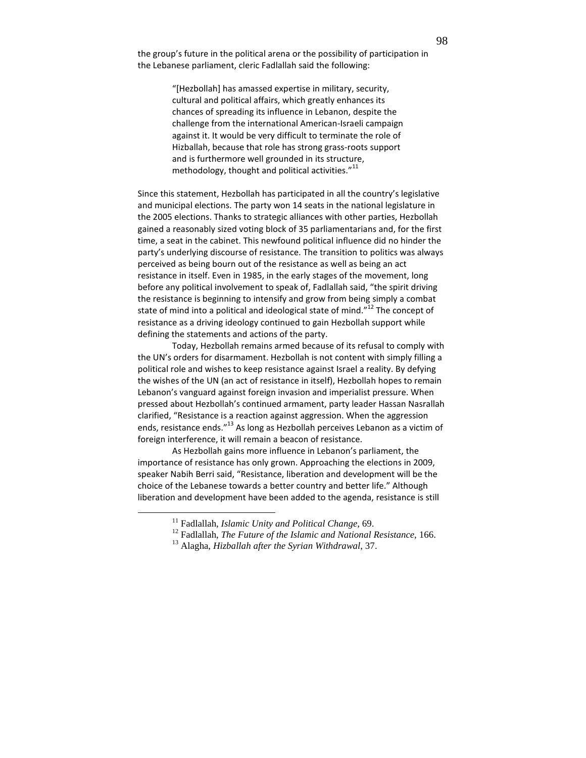the group's future in the political arena or the possibility of participation in the Lebanese parliament, cleric Fadlallah said the following:

> "[Hezbollah] has amassed expertise in military, security, cultural and political affairs, which greatly enhances its chances of spreading its influence in Lebanon, despite the challenge from the international American-Israeli campaign against it. It would be very difficult to terminate the role of Hizballah, because that role has strong grass-roots support and is furthermore well grounded in its structure, methodology, thought and political activities."<sup>11</sup>

Since this statement, Hezbollah has participated in all the country's legislative and municipal elections. The party won 14 seats in the national legislature in the 2005 elections. Thanks to strategic alliances with other parties, Hezbollah gained a reasonably sized voting block of 35 parliamentarians and, for the first time, a seat in the cabinet. This newfound political influence did no hinder the party's underlying discourse of resistance. The transition to politics was always perceived as being bourn out of the resistance as well as being an act resistance in itself. Even in 1985, in the early stages of the movement, long before any political involvement to speak of, Fadlallah said, "the spirit driving the resistance is beginning to intensify and grow from being simply a combat state of mind into a political and ideological state of mind. $12$ <sup>12</sup> The concept of resistance as a driving ideology continued to gain Hezbollah support while defining the statements and actions of the party.

 Today, Hezbollah remains armed because of its refusal to comply with the UN's orders for disarmament. Hezbollah is not content with simply filling a political role and wishes to keep resistance against Israel a reality. By defying the wishes of the UN (an act of resistance in itself), Hezbollah hopes to remain Lebanon's vanguard against foreign invasion and imperialist pressure. When pressed about Hezbollah's continued armament, party leader Hassan Nasrallah clarified, "Resistance is a reaction against aggression. When the aggression ends, resistance ends."<sup>13</sup> As long as Hezbollah perceives Lebanon as a victim of foreign interference, it will remain a beacon of resistance.

 As Hezbollah gains more influence in Lebanon's parliament, the importance of resistance has only grown. Approaching the elections in 2009, speaker Nabih Berri said, "Resistance, liberation and development will be the choice of the Lebanese towards a better country and better life." Although liberation and development have been added to the agenda, resistance is still

<sup>11</sup> Fadlallah, *Islamic Unity and Political Change*, 69.

<sup>12</sup> Fadlallah, *The Future of the Islamic and National Resistance*, 166.

<sup>13</sup> Alagha, *Hizballah after the Syrian Withdrawal*, 37.